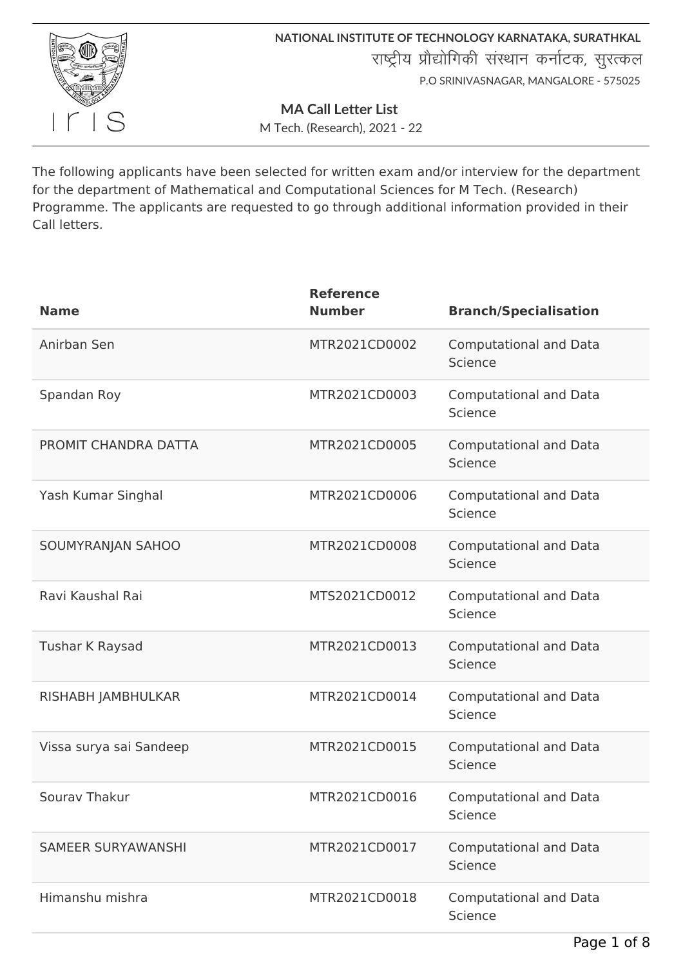

**NATIONAL INSTITUTE OF TECHNOLOGY KARNATAKA, SURATHKAL** राष्ट्रीय प्रौद्योगिकी संस्थान कर्नाटक, सुरत्कल P.O SRINIVASNAGAR, MANGALORE - 575025

**MA Call Letter List**

M Tech. (Research), 2021 - 22

The following applicants have been selected for written exam and/or interview for the department for the department of Mathematical and Computational Sciences for M Tech. (Research) Programme. The applicants are requested to go through additional information provided in their Call letters.

| <b>Name</b>               | <b>Reference</b><br><b>Number</b> | <b>Branch/Specialisation</b>             |
|---------------------------|-----------------------------------|------------------------------------------|
| Anirban Sen               | MTR2021CD0002                     | <b>Computational and Data</b><br>Science |
| Spandan Roy               | MTR2021CD0003                     | <b>Computational and Data</b><br>Science |
| PROMIT CHANDRA DATTA      | MTR2021CD0005                     | <b>Computational and Data</b><br>Science |
| Yash Kumar Singhal        | MTR2021CD0006                     | <b>Computational and Data</b><br>Science |
| SOUMYRANJAN SAHOO         | MTR2021CD0008                     | <b>Computational and Data</b><br>Science |
| Ravi Kaushal Rai          | MTS2021CD0012                     | <b>Computational and Data</b><br>Science |
| Tushar K Raysad           | MTR2021CD0013                     | <b>Computational and Data</b><br>Science |
| RISHABH JAMBHULKAR        | MTR2021CD0014                     | <b>Computational and Data</b><br>Science |
| Vissa surya sai Sandeep   | MTR2021CD0015                     | <b>Computational and Data</b><br>Science |
| Sourav Thakur             | MTR2021CD0016                     | <b>Computational and Data</b><br>Science |
| <b>SAMEER SURYAWANSHI</b> | MTR2021CD0017                     | <b>Computational and Data</b><br>Science |
| Himanshu mishra           | MTR2021CD0018                     | <b>Computational and Data</b><br>Science |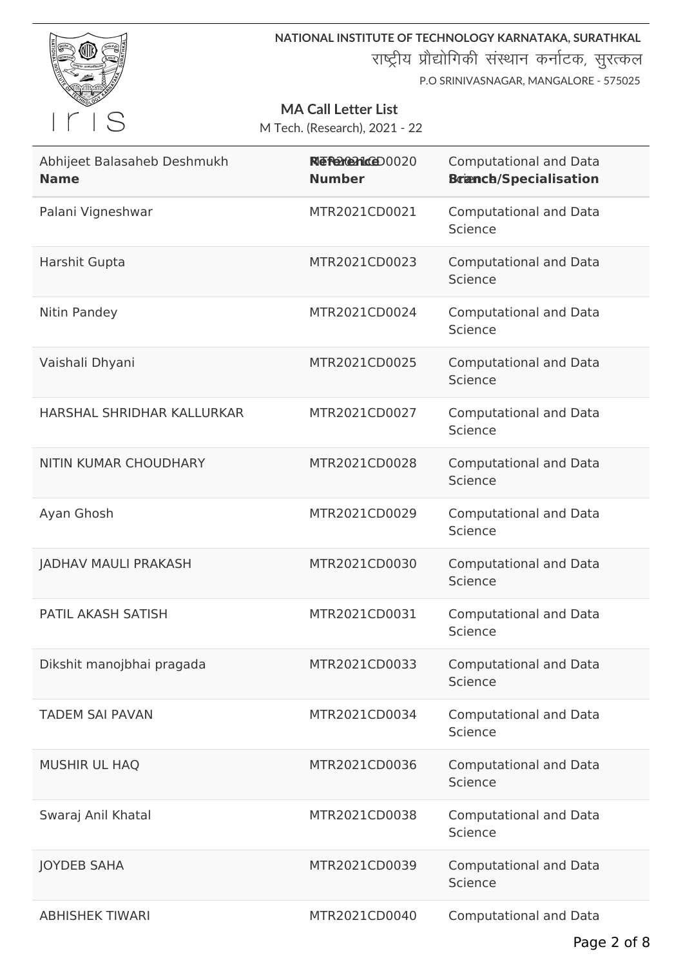

राष्ट्रीय प्रौद्योगिकी संस्थान कर्नाटक, सुरत्कल

P.O SRINIVASNAGAR, MANGALORE - 575025

## **MA Call Letter List**

| Abhijeet Balasaheb Deshmukh<br><b>Name</b> | RIE Percentace 00020<br><b>Number</b> | <b>Computational and Data</b><br><b>Branch/Specialisation</b> |
|--------------------------------------------|---------------------------------------|---------------------------------------------------------------|
| Palani Vigneshwar                          | MTR2021CD0021                         | <b>Computational and Data</b><br>Science                      |
| Harshit Gupta                              | MTR2021CD0023                         | <b>Computational and Data</b><br>Science                      |
| Nitin Pandey                               | MTR2021CD0024                         | <b>Computational and Data</b><br>Science                      |
| Vaishali Dhyani                            | MTR2021CD0025                         | <b>Computational and Data</b><br>Science                      |
| HARSHAL SHRIDHAR KALLURKAR                 | MTR2021CD0027                         | <b>Computational and Data</b><br>Science                      |
| NITIN KUMAR CHOUDHARY                      | MTR2021CD0028                         | <b>Computational and Data</b><br>Science                      |
| Ayan Ghosh                                 | MTR2021CD0029                         | <b>Computational and Data</b><br>Science                      |
| <b>JADHAV MAULI PRAKASH</b>                | MTR2021CD0030                         | <b>Computational and Data</b><br>Science                      |
| PATIL AKASH SATISH                         | MTR2021CD0031                         | <b>Computational and Data</b><br>Science                      |
| Dikshit manojbhai pragada                  | MTR2021CD0033                         | <b>Computational and Data</b><br>Science                      |
| <b>TADEM SAI PAVAN</b>                     | MTR2021CD0034                         | <b>Computational and Data</b><br>Science                      |
| <b>MUSHIR UL HAQ</b>                       | MTR2021CD0036                         | <b>Computational and Data</b><br>Science                      |
| Swaraj Anil Khatal                         | MTR2021CD0038                         | <b>Computational and Data</b><br>Science                      |
| <b>JOYDEB SAHA</b>                         | MTR2021CD0039                         | <b>Computational and Data</b><br>Science                      |
| <b>ABHISHEK TIWARI</b>                     | MTR2021CD0040                         | <b>Computational and Data</b>                                 |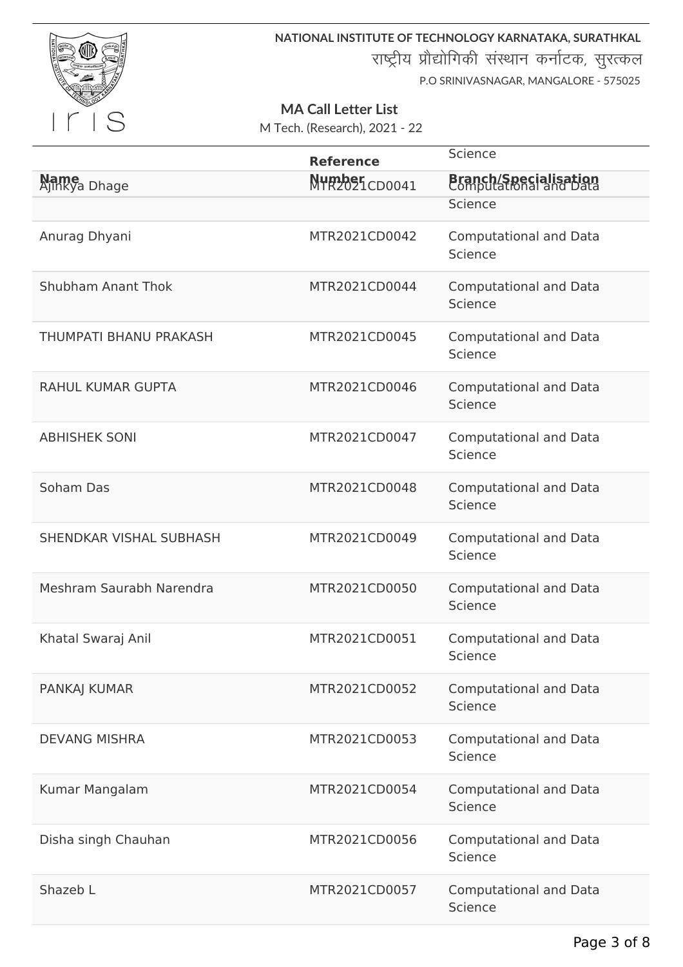

राष्ट्रीय प्रौद्योगिकी संस्थान कर्नाटक, सुरत्कल

P.O SRINIVASNAGAR, MANGALORE - 575025

## **MA Call Letter List**

|                              | <b>Reference</b>        | Science                                                |
|------------------------------|-------------------------|--------------------------------------------------------|
| <b>Name</b><br>Ajinkya Dhage | Number<br>MTR2021CD0041 | <b>Branch/Specialisation</b><br>Computational and Data |
|                              |                         | Science                                                |
| Anurag Dhyani                | MTR2021CD0042           | <b>Computational and Data</b><br>Science               |
| Shubham Anant Thok           | MTR2021CD0044           | <b>Computational and Data</b><br>Science               |
| THUMPATI BHANU PRAKASH       | MTR2021CD0045           | <b>Computational and Data</b><br>Science               |
| <b>RAHUL KUMAR GUPTA</b>     | MTR2021CD0046           | <b>Computational and Data</b><br>Science               |
| <b>ABHISHEK SONI</b>         | MTR2021CD0047           | <b>Computational and Data</b><br>Science               |
| Soham Das                    | MTR2021CD0048           | <b>Computational and Data</b><br>Science               |
| SHENDKAR VISHAL SUBHASH      | MTR2021CD0049           | <b>Computational and Data</b><br>Science               |
| Meshram Saurabh Narendra     | MTR2021CD0050           | <b>Computational and Data</b><br>Science               |
| Khatal Swaraj Anil           | MTR2021CD0051           | <b>Computational and Data</b><br>Science               |
| PANKAJ KUMAR                 | MTR2021CD0052           | <b>Computational and Data</b><br>Science               |
| <b>DEVANG MISHRA</b>         | MTR2021CD0053           | <b>Computational and Data</b><br>Science               |
| Kumar Mangalam               | MTR2021CD0054           | <b>Computational and Data</b><br>Science               |
| Disha singh Chauhan          | MTR2021CD0056           | <b>Computational and Data</b><br>Science               |
| Shazeb L                     | MTR2021CD0057           | <b>Computational and Data</b><br>Science               |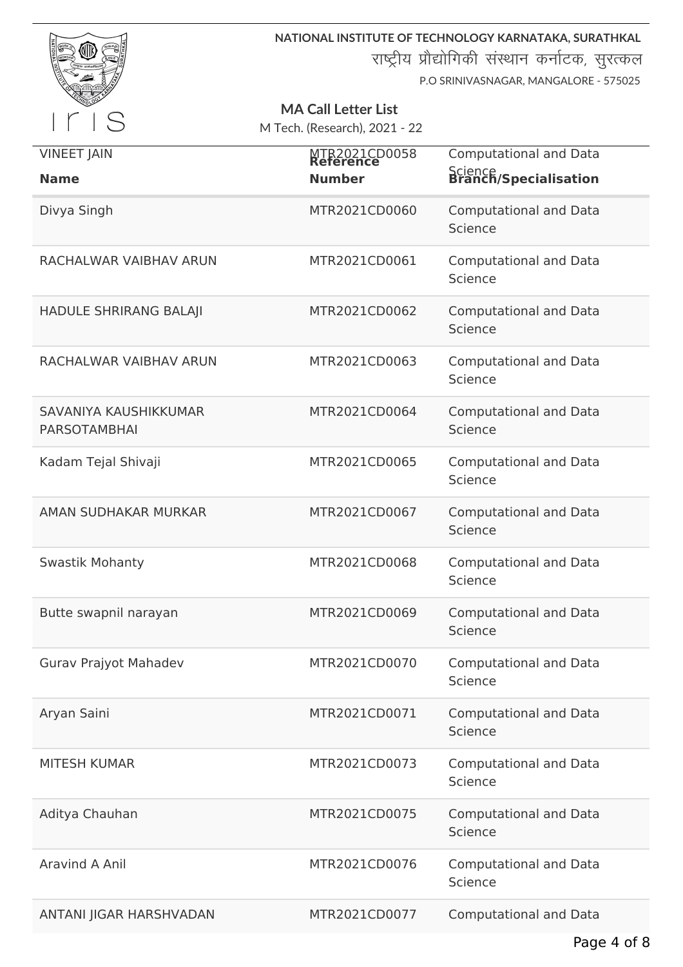

राष्ट्रीय प्रौद्योगिकी संस्थान कर्नाटक, सुरत्कल

P.O SRINIVASNAGAR, MANGALORE - 575025

# **MA Call Letter List**

| <b>VINEET JAIN</b>                           | MTR2021CD0058 | <b>Computational and Data</b>            |
|----------------------------------------------|---------------|------------------------------------------|
| <b>Name</b>                                  | <b>Number</b> | Science<br>Branch/Specialisation         |
| Divya Singh                                  | MTR2021CD0060 | <b>Computational and Data</b><br>Science |
| RACHALWAR VAIBHAV ARUN                       | MTR2021CD0061 | <b>Computational and Data</b><br>Science |
| HADULE SHRIRANG BALAJI                       | MTR2021CD0062 | <b>Computational and Data</b><br>Science |
| RACHALWAR VAIBHAV ARUN                       | MTR2021CD0063 | <b>Computational and Data</b><br>Science |
| SAVANIYA KAUSHIKKUMAR<br><b>PARSOTAMBHAI</b> | MTR2021CD0064 | <b>Computational and Data</b><br>Science |
| Kadam Tejal Shivaji                          | MTR2021CD0065 | <b>Computational and Data</b><br>Science |
| AMAN SUDHAKAR MURKAR                         | MTR2021CD0067 | <b>Computational and Data</b><br>Science |
| <b>Swastik Mohanty</b>                       | MTR2021CD0068 | <b>Computational and Data</b><br>Science |
| Butte swapnil narayan                        | MTR2021CD0069 | <b>Computational and Data</b><br>Science |
| Gurav Prajyot Mahadev                        | MTR2021CD0070 | <b>Computational and Data</b><br>Science |
| Aryan Saini                                  | MTR2021CD0071 | <b>Computational and Data</b><br>Science |
| <b>MITESH KUMAR</b>                          | MTR2021CD0073 | <b>Computational and Data</b><br>Science |
| Aditya Chauhan                               | MTR2021CD0075 | <b>Computational and Data</b><br>Science |
| Aravind A Anil                               | MTR2021CD0076 | <b>Computational and Data</b><br>Science |
| ANTANI JIGAR HARSHVADAN                      | MTR2021CD0077 | <b>Computational and Data</b>            |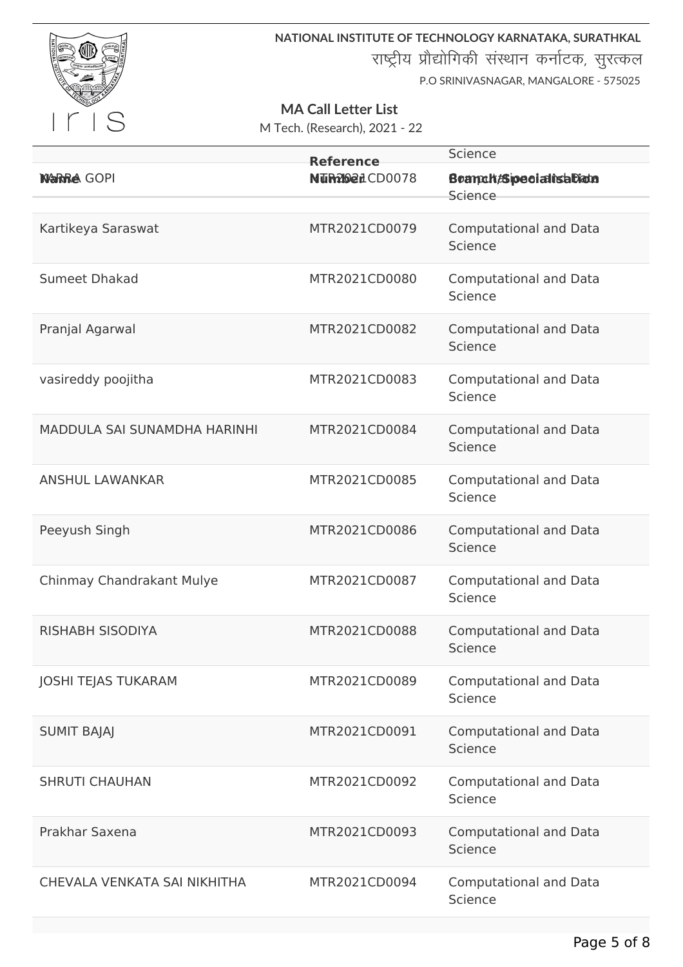

राष्ट्रीय प्रौद्योगिकी संस्थान कर्नाटक, सुरत्कल

P.O SRINIVASNAGAR, MANGALORE - 575025

# **MA Call Letter List**

|                              | <b>Reference</b>       | Science                                       |
|------------------------------|------------------------|-----------------------------------------------|
| <b>NARRA GOPI</b>            | <b>NUR202</b> 1 CD0078 | Beamch <sub>/Sipecialisabion</sub><br>Science |
|                              |                        |                                               |
| Kartikeya Saraswat           | MTR2021CD0079          | <b>Computational and Data</b><br>Science      |
| <b>Sumeet Dhakad</b>         | MTR2021CD0080          | <b>Computational and Data</b><br>Science      |
| Pranjal Agarwal              | MTR2021CD0082          | <b>Computational and Data</b><br>Science      |
| vasireddy poojitha           | MTR2021CD0083          | <b>Computational and Data</b><br>Science      |
| MADDULA SAI SUNAMDHA HARINHI | MTR2021CD0084          | <b>Computational and Data</b><br>Science      |
| <b>ANSHUL LAWANKAR</b>       | MTR2021CD0085          | <b>Computational and Data</b><br>Science      |
| Peeyush Singh                | MTR2021CD0086          | <b>Computational and Data</b><br>Science      |
| Chinmay Chandrakant Mulye    | MTR2021CD0087          | <b>Computational and Data</b><br>Science      |
| <b>RISHABH SISODIYA</b>      | MTR2021CD0088          | <b>Computational and Data</b><br>Science      |
| <b>JOSHI TEJAS TUKARAM</b>   | MTR2021CD0089          | <b>Computational and Data</b><br>Science      |
| <b>SUMIT BAJAJ</b>           | MTR2021CD0091          | <b>Computational and Data</b><br>Science      |
| <b>SHRUTI CHAUHAN</b>        | MTR2021CD0092          | <b>Computational and Data</b><br>Science      |
| Prakhar Saxena               | MTR2021CD0093          | <b>Computational and Data</b><br>Science      |
| CHEVALA VENKATA SAI NIKHITHA | MTR2021CD0094          | <b>Computational and Data</b><br>Science      |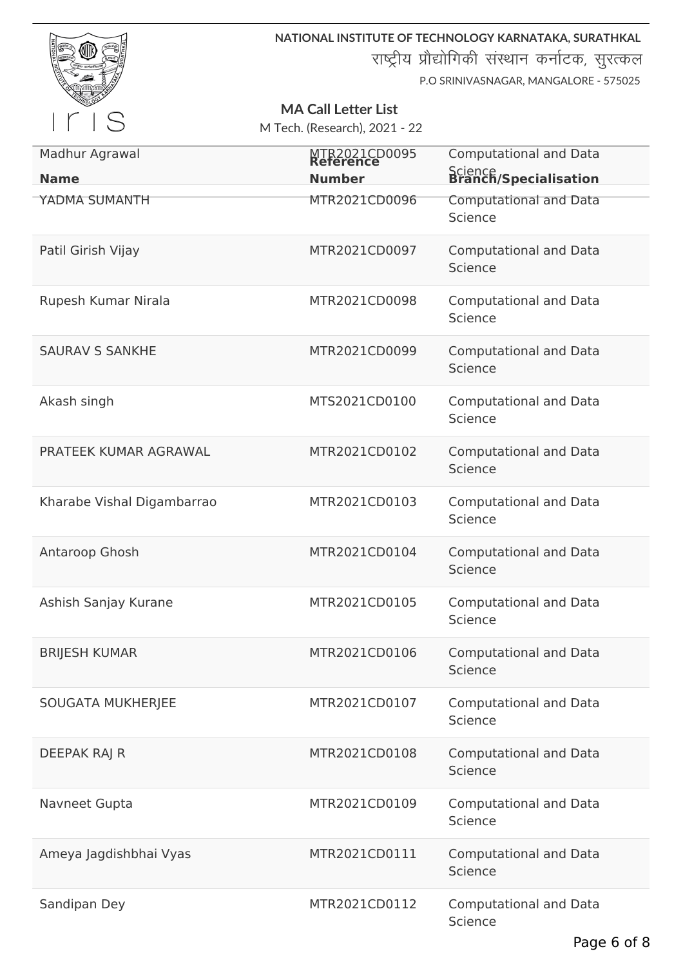

राष्ट्रीय प्रौद्योगिकी संस्थान कर्नाटक, सुरत्कल

P.O SRINIVASNAGAR, MANGALORE - 575025

# **MA Call Letter List**

| Madhur Agrawal<br><b>Name</b> | MTR2021CD0095<br><b>Number</b> | <b>Computational and Data</b><br>Science<br>Branch/Specialisation |
|-------------------------------|--------------------------------|-------------------------------------------------------------------|
| YADMA SUMANTH                 | MTR2021CD0096                  | <b>Computational and Data</b><br>Science                          |
| Patil Girish Vijay            | MTR2021CD0097                  | <b>Computational and Data</b><br>Science                          |
| Rupesh Kumar Nirala           | MTR2021CD0098                  | <b>Computational and Data</b><br>Science                          |
| <b>SAURAV S SANKHE</b>        | MTR2021CD0099                  | <b>Computational and Data</b><br>Science                          |
| Akash singh                   | MTS2021CD0100                  | <b>Computational and Data</b><br>Science                          |
| PRATEEK KUMAR AGRAWAL         | MTR2021CD0102                  | <b>Computational and Data</b><br>Science                          |
| Kharabe Vishal Digambarrao    | MTR2021CD0103                  | <b>Computational and Data</b><br>Science                          |
| Antaroop Ghosh                | MTR2021CD0104                  | <b>Computational and Data</b><br>Science                          |
| Ashish Sanjay Kurane          | MTR2021CD0105                  | <b>Computational and Data</b><br>Science                          |
| <b>BRIJESH KUMAR</b>          | MTR2021CD0106                  | <b>Computational and Data</b><br>Science                          |
| <b>SOUGATA MUKHERJEE</b>      | MTR2021CD0107                  | <b>Computational and Data</b><br>Science                          |
| DEEPAK RAJ R                  | MTR2021CD0108                  | <b>Computational and Data</b><br>Science                          |
| Navneet Gupta                 | MTR2021CD0109                  | <b>Computational and Data</b><br>Science                          |
| Ameya Jagdishbhai Vyas        | MTR2021CD0111                  | <b>Computational and Data</b><br>Science                          |
| Sandipan Dey                  | MTR2021CD0112                  | <b>Computational and Data</b><br>Science                          |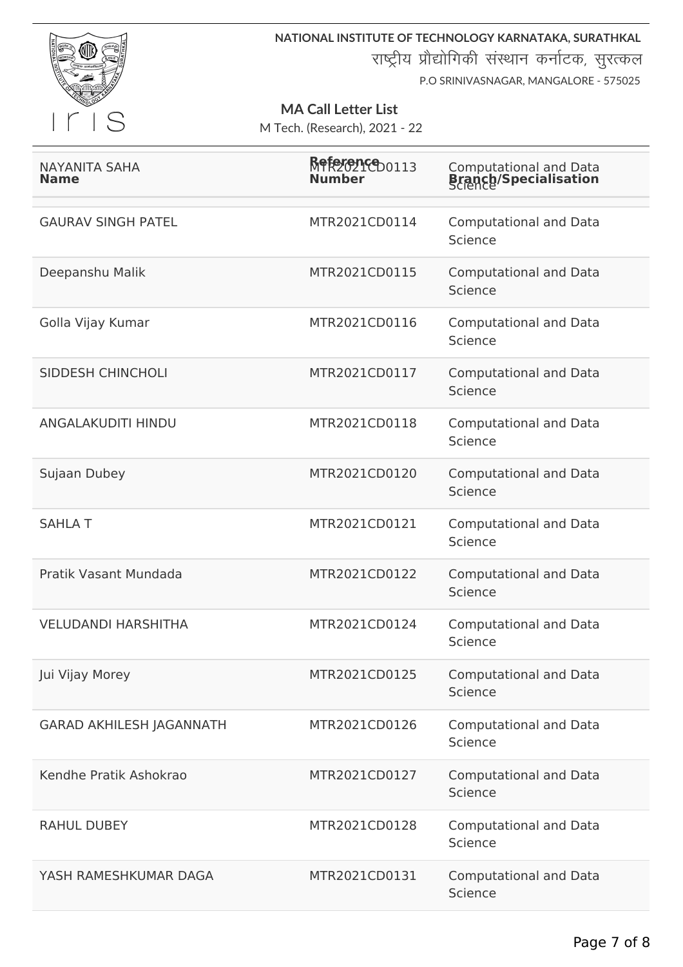

राष्ट्रीय प्रौद्योगिकी संस्थान कर्नाटक, सुरत्कल

P.O SRINIVASNAGAR, MANGALORE - 575025

### **MA Call Letter List**

| <b>NAYANITA SAHA</b><br><b>Name</b> | Reference 0113<br>Number | <b>Computational and Data</b><br><b>Branch/Specialisation</b> |
|-------------------------------------|--------------------------|---------------------------------------------------------------|
| <b>GAURAV SINGH PATEL</b>           | MTR2021CD0114            | <b>Computational and Data</b><br>Science                      |
| Deepanshu Malik                     | MTR2021CD0115            | <b>Computational and Data</b><br>Science                      |
| Golla Vijay Kumar                   | MTR2021CD0116            | <b>Computational and Data</b><br>Science                      |
| <b>SIDDESH CHINCHOLI</b>            | MTR2021CD0117            | <b>Computational and Data</b><br>Science                      |
| ANGALAKUDITI HINDU                  | MTR2021CD0118            | <b>Computational and Data</b><br>Science                      |
| Sujaan Dubey                        | MTR2021CD0120            | <b>Computational and Data</b><br>Science                      |
| <b>SAHLAT</b>                       | MTR2021CD0121            | <b>Computational and Data</b><br>Science                      |
| Pratik Vasant Mundada               | MTR2021CD0122            | <b>Computational and Data</b><br>Science                      |
| <b>VELUDANDI HARSHITHA</b>          | MTR2021CD0124            | <b>Computational and Data</b><br>Science                      |
| Jui Vijay Morey                     | MTR2021CD0125            | <b>Computational and Data</b><br>Science                      |
| <b>GARAD AKHILESH JAGANNATH</b>     | MTR2021CD0126            | <b>Computational and Data</b><br>Science                      |
| Kendhe Pratik Ashokrao              | MTR2021CD0127            | <b>Computational and Data</b><br>Science                      |
| <b>RAHUL DUBEY</b>                  | MTR2021CD0128            | <b>Computational and Data</b><br>Science                      |
| YASH RAMESHKUMAR DAGA               | MTR2021CD0131            | <b>Computational and Data</b><br>Science                      |